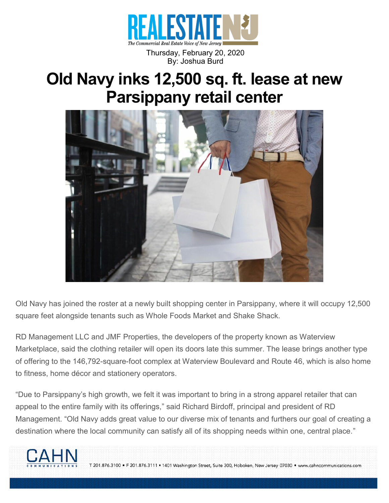

Thursday, February 20, 2020 By: Joshua Burd

## **Old Navy inks 12,500 sq. ft. lease at new Parsippany retail center**



Old Navy has joined the roster at a newly built shopping center in Parsippany, where it will occupy 12,500 square feet alongside tenants such as Whole Foods Market and Shake Shack.

RD Management LLC and JMF Properties, the developers of the property known as Waterview Marketplace, said the clothing retailer will open its doors late this summer. The lease brings another type of offering to the 146,792-square-foot complex at Waterview Boulevard and Route 46, which is also home to fitness, home décor and stationery operators.

"Due to Parsippany's high growth, we felt it was important to bring in a strong apparel retailer that can appeal to the entire family with its offerings," said Richard Birdoff, principal and president of RD Management. "Old Navy adds great value to our diverse mix of tenants and furthers our goal of creating a destination where the local community can satisfy all of its shopping needs within one, central place."



T 201.876.3100 · F 201.876.3111 · 1401 Washington Street, Suite 300, Hoboken, New Jersey 07030 · www.cahncommunications.com